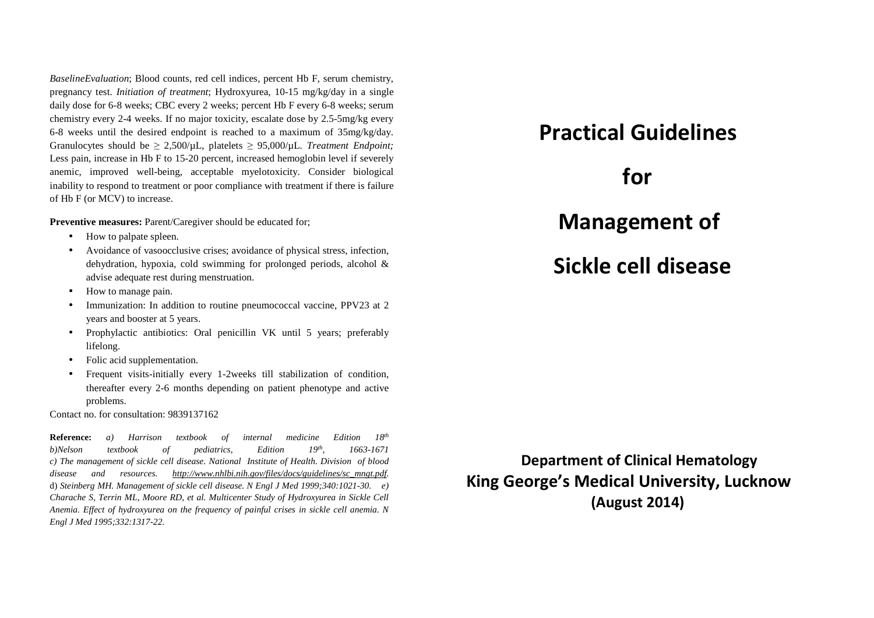*BaselineEvaluation*; Blood counts, red cell indices, percent Hb F, serum chemistry, pregnancy test. *Initiation of treatment*; Hydroxyurea, 10-15 mg/kg/day in a single daily dose for 6-8 weeks; CBC every 2 weeks; percent Hb F every 6-8 weeks; serum chemistry every 2-4 weeks. If no major toxicity, escalate dose by 2.5-5mg/kg every 6-8 weeks until the desired endpoint is reached to a maximum of 35mg/kg/day. Granulocytes should be  $\geq 2.500/\mu L$ , platelets  $\geq 95,000/\mu L$ . *Treatment Endpoint*; Less pain, increase in Hb F to 15-20 percent, increased hemoglobin level if severely anemic, improved well-being, acceptable myelotoxicity. Consider biological inability to respond to treatment or poor compliance with treatment if there is failure of Hb F (or MCV) to increase.

Preventive measures: Parent/Caregiver should be educated for;

- •How to palpate spleen.
- Avoidance of vasoocclusive crises; avoidance of physical stress, infection, dehydration, hypoxia, cold swimming for prolonged periods, alcohol & advise adequate rest during menstruation.
- •How to manage pain.
- • Immunization: In addition to routine pneumococcal vaccine, PPV23 at 2 years and booster at 5 years.
- • Prophylactic antibiotics: Oral penicillin VK until 5 years; preferably lifelong.
- Folic acid supplementation.
- • Frequent visits-initially every 1-2weeks till stabilization of condition, thereafter every 2-6 months depending on patient phenotype and active problems.

Contact no. for consultation: 9839137162

**Reference:** *a) Harrison textbook of internal medicine Edition 18th b)Nelson textbook of pediatrics, Edition 19th, 1663-1671 c) The management of sickle cell disease. National Institute of Health. Division of blood* disease and resources. http://www.nhlbi.nih.gov/files/docs/guidelines/sc\_mngt.pdf. d) *Steinberg MH. Management of sickle cell disease. N Engl J Med 1999;340:1021-30. e) Charache S, Terrin ML, Moore RD, et al. Multicenter Study of Hydroxyurea in Sickle Cell Anemia. Effect of hydroxyurea on the frequency of painful crises in sickle cell anemia. N Engl J Med 1995;332:1317-22.* 

## **Practical Guidelines**

 **for** 

# **Management of**

## **Sickle cell disease**

 **Department of Clinical Hematology King George's Medical University, Lucknow (August 2014)**